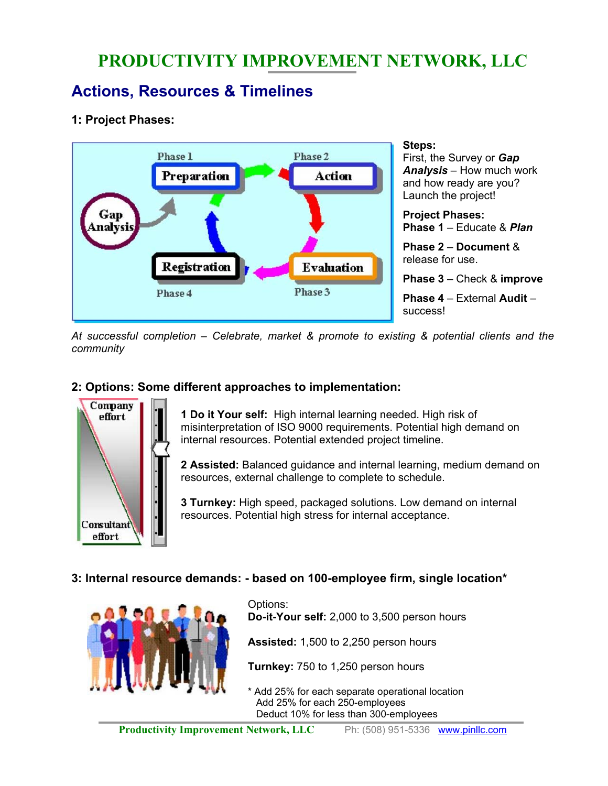# **PRODUCTIVITY IMPROVEMENT NETWORK, LLC**

## **Actions, Resources & Timelines**

## **1: Project Phases:**



*At successful completion – Celebrate, market & promote to existing & potential clients and the community* 

## **2: Options: Some different approaches to implementation:**



**1 Do it Your self:** High internal learning needed. High risk of misinterpretation of ISO 9000 requirements. Potential high demand on internal resources. Potential extended project timeline.

**2 Assisted:** Balanced guidance and internal learning, medium demand on resources, external challenge to complete to schedule.

**3 Turnkey:** High speed, packaged solutions. Low demand on internal resources. Potential high stress for internal acceptance.

## **3: Internal resource demands: - based on 100-employee firm, single location\***



Options: **Do-it-Your self:** 2,000 to 3,500 person hours **Assisted:** 1,500 to 2,250 person hours

**Turnkey:** 750 to 1,250 person hours

\* Add 25% for each separate operational location Add 25% for each 250-employees Deduct 10% for less than 300-employees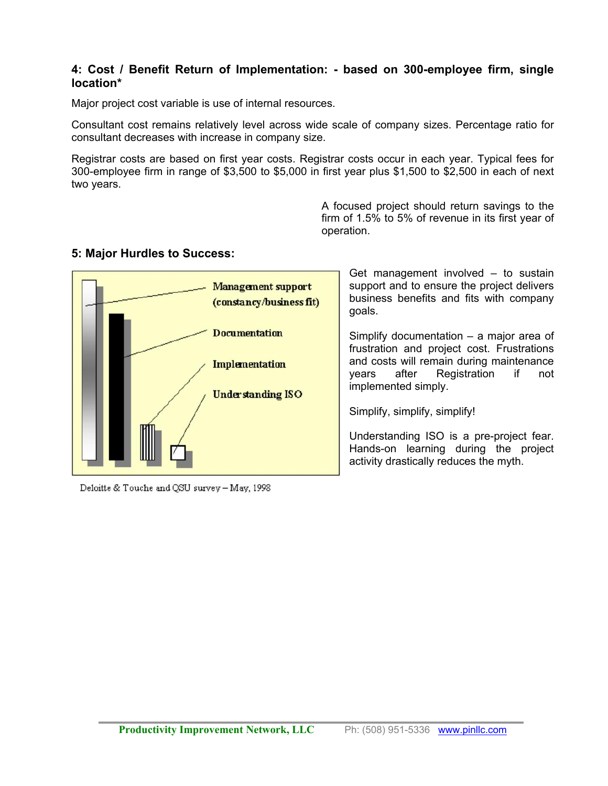#### **4: Cost / Benefit Return of Implementation: - based on 300-employee firm, single location\***

Major project cost variable is use of internal resources.

Consultant cost remains relatively level across wide scale of company sizes. Percentage ratio for consultant decreases with increase in company size.

Registrar costs are based on first year costs. Registrar costs occur in each year. Typical fees for 300-employee firm in range of \$3,500 to \$5,000 in first year plus \$1,500 to \$2,500 in each of next two years.

> A focused project should return savings to the firm of 1.5% to 5% of revenue in its first year of operation.

#### **5: Major Hurdles to Success:**



Deloitte & Touche and QSU survey - May, 1998

Get management involved – to sustain support and to ensure the project delivers business benefits and fits with company goals.

Simplify documentation – a major area of frustration and project cost. Frustrations and costs will remain during maintenance years after Registration if not implemented simply.

Simplify, simplify, simplify!

Understanding ISO is a pre-project fear. Hands-on learning during the project activity drastically reduces the myth.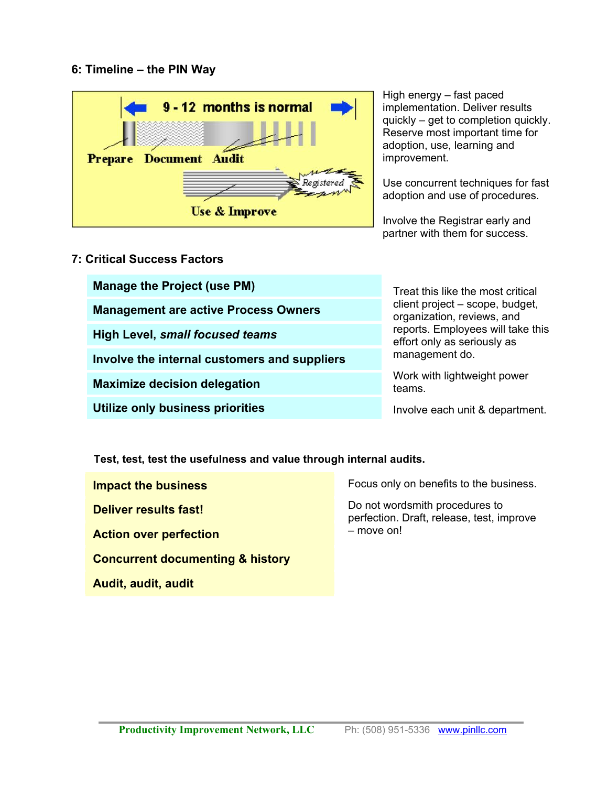### **6: Timeline – the PIN Way**



High energy – fast paced implementation. Deliver results quickly – get to completion quickly. Reserve most important time for adoption, use, learning and improvement.

Use concurrent techniques for fast adoption and use of procedures.

Involve the Registrar early and partner with them for success.

### **7: Critical Success Factors**

| <b>Manage the Project (use PM)</b>           | Treat this like the most critical<br>client project – scope, budget,<br>organization, reviews, and<br>reports. Employees will take this<br>effort only as seriously as<br>management do. |
|----------------------------------------------|------------------------------------------------------------------------------------------------------------------------------------------------------------------------------------------|
| <b>Management are active Process Owners</b>  |                                                                                                                                                                                          |
| <b>High Level, small focused teams</b>       |                                                                                                                                                                                          |
| Involve the internal customers and suppliers |                                                                                                                                                                                          |
| <b>Maximize decision delegation</b>          | Work with lightweight power<br>teams.                                                                                                                                                    |
| Utilize only business priorities             | Involve each unit & department.                                                                                                                                                          |

**Test, test, test the usefulness and value through internal audits.** 

**Impact the business** 

**Deliver results fast!** 

**Action over perfection** 

**Concurrent documenting & history**

**Audit, audit, audit** 

Focus only on benefits to the business.

Do not wordsmith procedures to perfection. Draft, release, test, improve – move on!